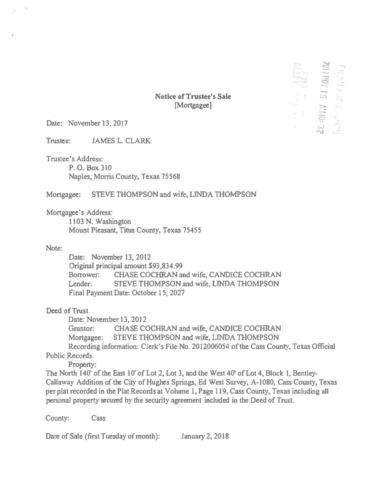|                          | F            |        |
|--------------------------|--------------|--------|
|                          | 52           | ÷      |
| n.                       |              | ---    |
|                          |              | ł      |
| ٠<br>$-11$               | ó,           |        |
| w<br>$\rightarrow$<br>79 | Cŋ           |        |
| š,                       |              |        |
| ٠                        | $\mathbb{R}$ | a si   |
|                          | ÷            | ١<br>١ |

**Notice of Trustee's Sale** [Mortgagee]

Date: November 13, 2017

Trustee: JAMES L. CLARK

Trustee's Address:

P. 0. Box 310 Naples, Morris County, Texas 75568

### Mortgagee: STEVE THOMPSON and wife, LINDA THOMPSON

Mortgagee's Address:

1103 N. Washington Mount Pleasant, Titus County, Texas 75455

### Note:

Date: November 13, 2012 Original principal amount \$93,834.99 Borrower: CHASE COCHRAN and wife, CANDICE COCHRAN Lender: STEVE THOMPSON and wife, LINDA THOMPSON Final Payment Date: October 15, 2027

## Deed of Trust

Date: November 13, 2012

Grantor: CHASE COCHRAN and wife, CANDICE COCHRAN Mortgagee: STEVE THOMPSON and wife, LINDA THOMPSON Recording information: Clerk's File No. 2012006054 of the Cass County, Texas Official

# Public Records

Property:

The North 140' of the East 10' of Lot 2, Lot 3, and the West 40' of Lot 4, Block 1, Bentley-Callaway Addition of the City of Hughes Springs, Ed West Survey, A-1080, Cass Cowity, Texas per plat recorded in the Plat Records at Volume 1, Page 119, Cass County, Texas including all personal property secured by the secwity agreement included in the Deed of Trust.

County: Cass

Date of Sale (first Tuesday of month): January 2, 2018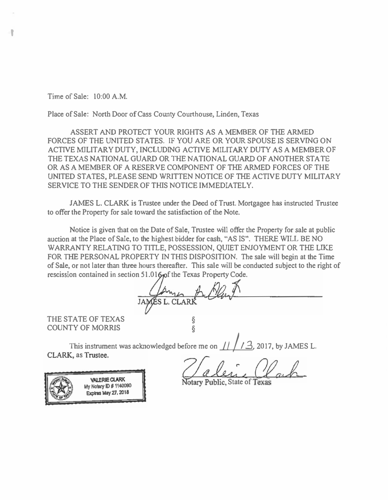Time of Sale: 10:00 A.M.

'

Place of Sale: North Door of Cass County Courthouse, Linden, Texas

ASSERT AND PROTECT YOUR RIGHTS AS A MEMBER OF THE ARMED FORCES OF THE UNITED STATES. IF YOU ARE OR YOUR SPOUSE IS SERVING ON ACTIVE MILITARY DUTY, INCLUDING ACTIVE MILITARY DUTY AS A MEMBER OF THE TEXAS NATIONAL GUARD OR THE NATIONAL GUARD OF ANOTHER STA TE OR AS A MEMBER OF A RESERVE COMPONENT OF THE ARMED FORCES OF THE UNITED STATES, PLEASE SEND WRITTEN NOTICE OF THE ACTIVE DUTY MILITARY SERVICE TO THE SENDER OF THIS NOTICE IMMEDIATELY.

JAMES L. CLARK is Trustee under the Deed of Trust. Mortgagee has instructed Trustee to offer the Property for sale toward the satisfaction of the Note.

Notice is given that on the Date of Sale, Trustee will offer the Property for sale at public auction at the Place of Sale, to the highest bidder for cash, "AS IS". THERE WILL BE NO WARRANTY RELATING TO TITLE, POSSESSION, QUIET ENJOYMENT OR THE LIKE FOR THE PERSONAL PROPERTY IN THIS DISPOSITION. The sale will begin at the Time of Sale, or not later than three hours thereafter. This sale will be conducted subject to the right of rescission contained in section 51.016 of the Texas Property Code.

 $CLARR$ J

THE STATE OF TEXAS<br>COUNTY OF MORRIS **COUNTY OF MORRIS** 

This instrument was acknowledged before me on  $\frac{11}{13}$ , 2017, by JAMES L.<br>CLARK, as Trustee. COUNTY OF MORRIS<br>
This instrument was acknowledged before me on  $11/13$ , 2017, by JAMES<br>
CLARK, as Trustee.<br>
WERE CLARK WERE CLARK Notary Public, State of Texas



**Expires May 27, 2018**  $\mathcal{H}_{\alpha\beta}$  ,  $\mathcal{H}_{\beta\gamma}$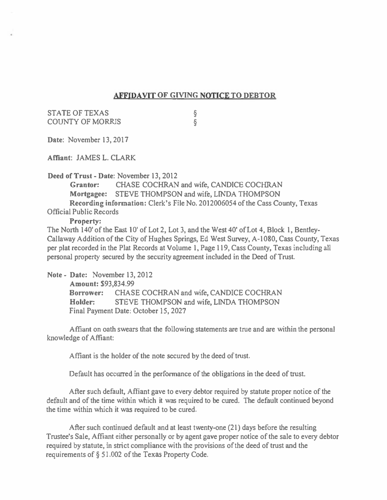## AFFIDAVIT OF GIVING NOTICE TO DEBTOR

STATE OF TEXAS COUNTY OF MORRIS § §

Date: November 13, 2017

Affiant: JAMES L. CLARK

Deed of Trust-Date: November 13, 2012

Grantor: CHASE COCHRAN and wife, CANDICE COCHRAN Mortgagee: STEVE THOMPSON and wife, LINDA THOMPSON Recording information: Clerk's File No. 2012006054 of the Cass County, Texas

Official Public Records

Property:

The North 140' of the East 10' of Lot 2, Lot 3, and the West 40' of Lot 4, Block 1, Bentley-Callaway Addition of the City of Hughes Springs, Ed West Survey, A-1080, Cass County, Texas per plat recorded in the Plat Records at Volume 1, Page 119, Cass County, Texas including all personal property secured by the security agreement included in the Deed of Trust

Note - Date: November 13, 2012 Amount: \$93,834.99 Borrower: CHASE COCHRAN and wife, CANDICE COCHRAN Bolder: STEVE THOMPSON and wife, LINDA THOMPSON Final Payment Date: October 15, 2027

Affiant on oath swears that the following statements are true and are within the personal knowledge of Affiant:

Affiant is the holder of the note secured by the deed of trust.

Default has occurred in the performance of the obligations in the deed of trust.

After such default, Affiant gave to every debtor required by statute proper notice of the default and of the time within which it was required to be cured. The default continued beyond the time within which it was required to be cured.

After such continued default and at least twenty-one (21) days before the resulting Trustee's Sale, Affiant either personally or by agent gave proper notice of the sale to every debtor required by statute, in strict compliance with the provisions of the deed of trust and the requirements of§ 51.002 of the Texas Property Code.